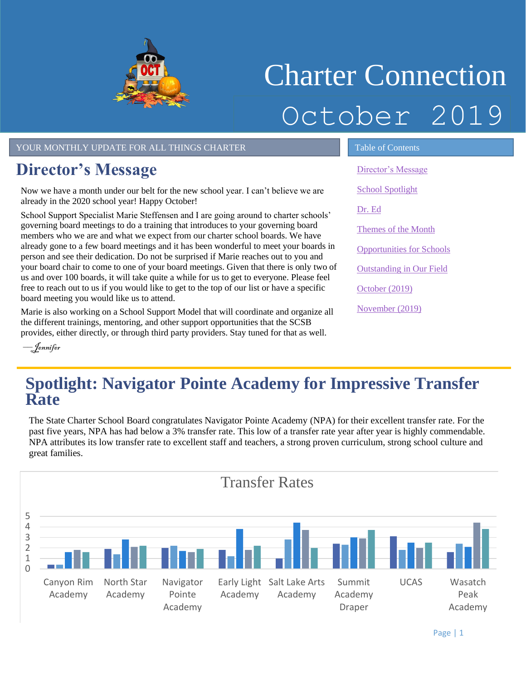

# Charter Connection October 2019

YOUR MONTHLY UPDATE FOR ALL THINGS CHARTER TABLE OF Contents

## <span id="page-0-0"></span>**Director's Message**

Now we have a month under our belt for the new school year. I can't believe we are already in the 2020 school year! Happy October!

School Support Specialist Marie Steffensen and I are going around to charter schools' governing board meetings to do a training that introduces to your governing board members who we are and what we expect from our charter school boards. We have already gone to a few board meetings and it has been wonderful to meet your boards in person and see their dedication. Do not be surprised if Marie reaches out to you and your board chair to come to one of your board meetings. Given that there is only two of us and over 100 boards, it will take quite a while for us to get to everyone. Please feel free to reach out to us if you would like to get to the top of our list or have a specific board meeting you would like us to attend.

Marie is also working on a School Support Model that will coordinate and organize all the different trainings, mentoring, and other support opportunities that the SCSB provides, either directly, or through third party providers. Stay tuned for that as well.

[Director's Message](#page-0-0) [School Spotlight](#page-0-1) [Dr. Ed](#page-1-0) Themes of the Month [Opportunities for Schools](#page-2-0)  [Outstanding in Our Field](#page-2-1) [October](#page-3-0) (2019) [November](#page-3-1) (2019[\)](#page-2-2)

––Jennifer

# <span id="page-0-1"></span> **Spotlight: Navigator Pointe Academy for Impressive Transfer Rate**

The State Charter School Board congratulates Navigator Pointe Academy (NPA) for their excellent transfer rate. For the past five years, NPA has had below a 3% transfer rate. This low of a transfer rate year after year is highly commendable. NPA attributes its low transfer rate to excellent staff and teachers, a strong proven curriculum, strong school culture and great families.

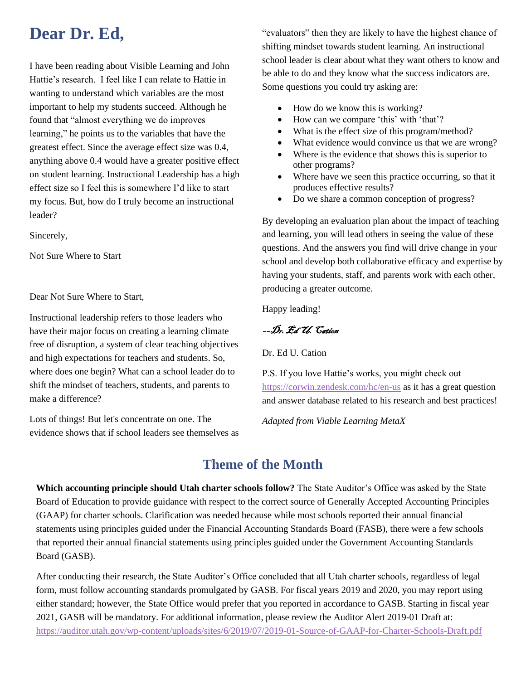## <span id="page-1-0"></span>**Dear Dr. Ed,**

I have been reading about Visible Learning and John Hattie's research. I feel like I can relate to Hattie in wanting to understand which variables are the most important to help my students succeed. Although he found that "almost everything we do improves learning," he points us to the variables that have the greatest effect. Since the average effect size was 0.4, anything above 0.4 would have a greater positive effect on student learning. Instructional Leadership has a high effect size so I feel this is somewhere I'd like to start my focus. But, how do I truly become an instructional leader?

Sincerely,

Not Sure Where to Start

Dear Not Sure Where to Start,

Instructional leadership refers to those leaders who have their major focus on creating a learning climate free of disruption, a system of clear teaching objectives and high expectations for teachers and students. So, where does one begin? What can a school leader do to shift the mindset of teachers, students, and parents to make a difference?

Lots of things! But let's concentrate on one. The evidence shows that if school leaders see themselves as

"evaluators" then they are likely to have the highest chance of shifting mindset towards student learning. An instructional school leader is clear about what they want others to know and be able to do and they know what the success indicators are. Some questions you could try asking are:

- How do we know this is working?
- How can we compare 'this' with 'that'?
- What is the effect size of this program/method?
- What evidence would convince us that we are wrong?
- Where is the evidence that shows this is superior to other programs?
- Where have we seen this practice occurring, so that it produces effective results?
- Do we share a common conception of progress?

By developing an evaluation plan about the impact of teaching and learning, you will lead others in seeing the value of these questions. And the answers you find will drive change in your school and develop both collaborative efficacy and expertise by having your students, staff, and parents work with each other, producing a greater outcome.

Happy leading!

––Dr. Ed U. Cation

Dr. Ed U. Cation

P.S. If you love Hattie's works, you might check out <https://corwin.zendesk.com/hc/en-us> as it has a great question and answer database related to his research and best practices!

*Adapted from Viable Learning MetaX*

#### **Theme of the Month**

**Which accounting principle should Utah charter schools follow?** The State Auditor's Office was asked by the State Board of Education to provide guidance with respect to the correct source of Generally Accepted Accounting Principles (GAAP) for charter schools. Clarification was needed because while most schools reported their annual financial statements using principles guided under the Financial Accounting Standards Board (FASB), there were a few schools that reported their annual financial statements using principles guided under the Government Accounting Standards Board (GASB).

<https://auditor.utah.gov/wp-content/uploads/sites/6/2019/07/2019-01-Source-of-GAAP-for-Charter-Schools-Draft.pdf> After conducting their research, the State Auditor's Office concluded that all Utah charter schools, regardless of legal form, must follow accounting standards promulgated by GASB. For fiscal years 2019 and 2020, you may report using either standard; however, the State Office would prefer that you reported in accordance to GASB. Starting in fiscal year 2021, GASB will be mandatory. For additional information, please review the Auditor Alert 2019-01 Draft at: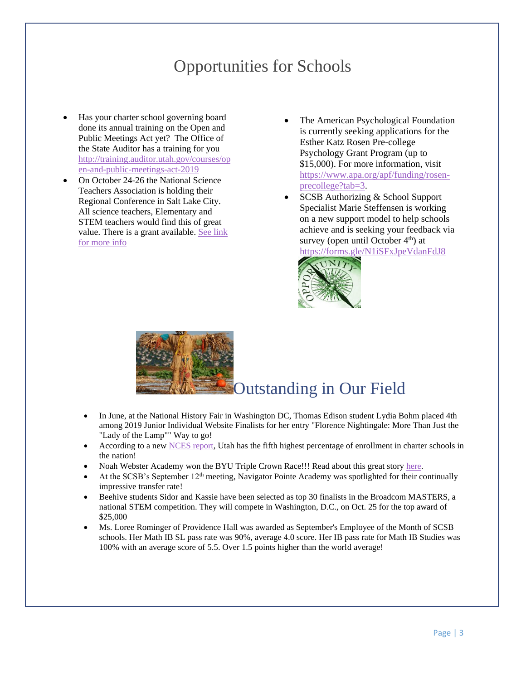## Opportunities for Schools

- <span id="page-2-0"></span>• Has your charter school governing board done its annual training on the Open and Public Meetings Act yet? The Office of the State Auditor has a training for you [http://training.auditor.utah.gov/courses/op](http://training.auditor.utah.gov/courses/open-and-public-meetings-act-2019) [en-and-public-meetings-act-2019](http://training.auditor.utah.gov/courses/open-and-public-meetings-act-2019)
- On October 24-26 the National Science Teachers Association is holding their Regional Conference in Salt Lake City. All science teachers, Elementary and STEM teachers would find this of great value. There is a grant available. [See link](https://twitter.com/UtahSCSB/status/1108820864244555776)  [for more info](https://twitter.com/UtahSCSB/status/1108820864244555776)
- The American Psychological Foundation is currently seeking applications for the Esther Katz Rosen Pre-college Psychology Grant Program (up to \$15,000). For more information, visit [https://www.apa.org/apf/funding/rosen](https://www.apa.org/apf/funding/rosen-precollege?tab=3)[precollege?tab=3.](https://www.apa.org/apf/funding/rosen-precollege?tab=3)
- SCSB Authorizing & School Support Specialist Marie Steffensen is working on a new support model to help schools achieve and is seeking your feedback via survey (open until October  $4<sup>th</sup>$ ) at <https://forms.gle/N1iSFxJpeVdanFdJ8>



<span id="page-2-1"></span>

- In June, at the National History Fair in Washington DC, Thomas Edison student Lydia Bohm placed 4th among 2019 Junior Individual Website Finalists for her entry "Florence Nightingale: More Than Just the "Lady of the Lamp"" Way to go!
- According to a ne[w NCES report,](http://ow.ly/IUke50wyo6T) Utah has the fifth highest percentage of enrollment in charter schools in the nation!
- Noah Webster Academy won the BYU Triple Crown Race!!! Read about this great story here.
- At the SCSB's September 12<sup>th</sup> meeting, Navigator Pointe Academy was spotlighted for their continually impressive transfer rate!
- Beehive students Sidor and Kassie have been selected as top 30 finalists in the Broadcom MASTERS, a national STEM competition. They will compete in Washington, D.C., on Oct. 25 for the top award of \$25,000
- <span id="page-2-2"></span>• Ms. Loree Rominger of Providence Hall was awarded as September's Employee of the Month of SCSB schools. Her Math IB SL pass rate was 90%, average 4.0 score. Her IB pass rate for Math IB Studies was 100% with an average score of 5.5. Over 1.5 points higher than the world average!